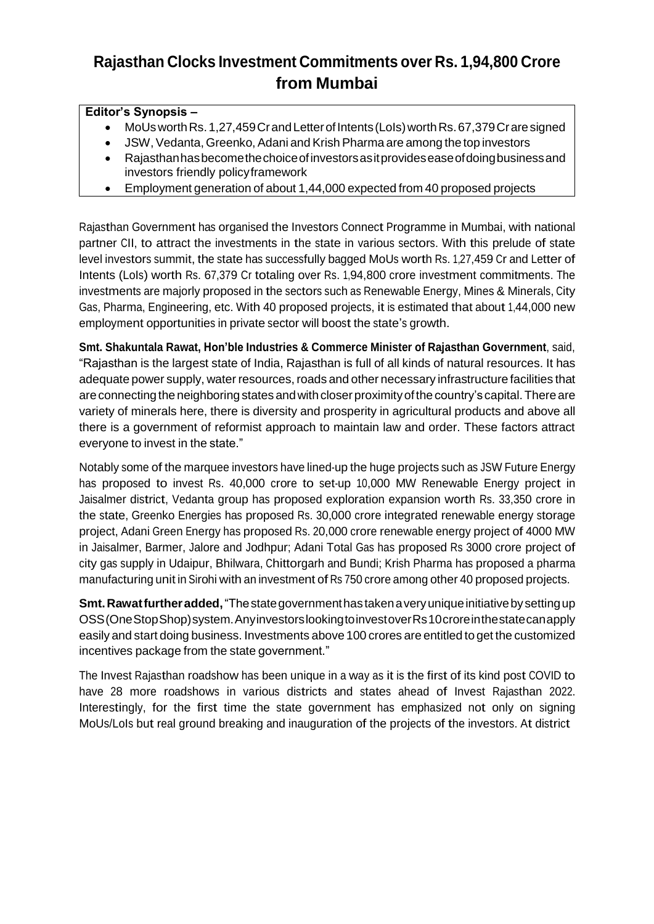## **Rajasthan Clocks Investment Commitments over Rs. 1,94,800 Crore from Mumbai**

## **Editor's Synopsis –**

- MoUs worth Rs. 1,27,459 Cr and Letter of Intents (LoIs) worth Rs. 67,379 Cr are signed
- JSW, Vedanta, Greenko, Adani and Krish Pharma are among the top investors
- Rajasthanhasbecomethechoiceofinvestorsasitprovideseaseofdoingbusinessand investors friendly policyframework
- Employment generation of about 1,44,000 expected from 40 proposed projects

Rajasthan Government has organised the Investors Connect Programme in Mumbai, with national partner CII, to attract the investments in the state in various sectors. With this prelude of state level investors summit, the state has successfully bagged MoUs worth Rs. 1,27,459 Cr and Letter of Intents (LoIs) worth Rs. 67,379 Cr totaling over Rs. 1,94,800 crore investment commitments. The investments are majorly proposed in the sectors such as Renewable Energy, Mines & Minerals, City Gas, Pharma, Engineering, etc. With 40 proposed projects, it is estimated that about 1,44,000 new employment opportunities in private sector will boost the state's growth.

**Smt. Shakuntala Rawat, Hon'ble Industries & Commerce Minister of Rajasthan Government**, said, "Rajasthan is the largest state of India, Rajasthan is full of all kinds of natural resources. It has adequate power supply, water resources,roads and other necessary infrastructure facilities that are connecting the neighboring states and with closer proximity of the country's capital. There are variety of minerals here, there is diversity and prosperity in agricultural products and above all there is a government of reformist approach to maintain law and order. These factors attract everyone to invest in the state."

Notably some of the marquee investors have lined-up the huge projects such as JSW Future Energy has proposed to invest Rs. 40,000 crore to set-up 10,000 MW Renewable Energy project in Jaisalmer district, Vedanta group has proposed exploration expansion worth Rs. 33,350 crore in the state, Greenko Energies has proposed Rs. 30,000 crore integrated renewable energy storage project, Adani Green Energy has proposed Rs. 20,000 crore renewable energy project of 4000 MW in Jaisalmer, Barmer, Jalore and Jodhpur; Adani Total Gas has proposed Rs 3000 crore project of city gas supply in Udaipur, Bhilwara, Chittorgarh and Bundi; Krish Pharma has proposed a pharma manufacturing unit in Sirohi with an investment of Rs 750 crore among other 40 proposed projects.

**Smt. Rawat further added,** "The state government has taken a very unique initiative by setting up OSS(OneStopShop)system.AnyinvestorslookingtoinvestoverRs10croreinthestatecanapply easily and start doing business. Investments above 100 crores are entitled to get the customized incentives package from the state government."

The Invest Rajasthan roadshow has been unique in <sup>a</sup> way as it is the first of its kind post COVID to have 28 more roadshows in various districts and states ahead of Invest Rajasthan 2022. Interestingly, for the first time the state government has emphasized not only on signing MoUs/LoIs but real ground breaking and inauguration of the projects of the investors. At district